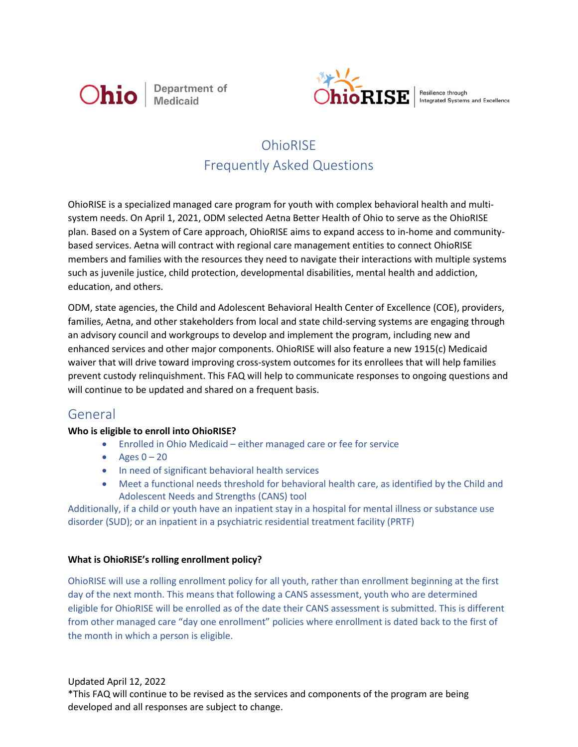



Resilience through Integrated Systems and Excellence

# **OhioRISE** Frequently Asked Questions

OhioRISE is a specialized managed care program for youth with complex behavioral health and multisystem needs. On April 1, 2021, ODM selected Aetna Better Health of Ohio to serve as the OhioRISE plan. Based on a System of Care approach, OhioRISE aims to expand access to in-home and communitybased services. Aetna will contract with regional care management entities to connect OhioRISE members and families with the resources they need to navigate their interactions with multiple systems such as juvenile justice, child protection, developmental disabilities, mental health and addiction, education, and others.

ODM, state agencies, the Child and Adolescent Behavioral Health Center of Excellence (COE), providers, families, Aetna, and other stakeholders from local and state child-serving systems are engaging through an advisory council and workgroups to develop and implement the program, including new and enhanced services and other major components. OhioRISE will also feature a new 1915(c) Medicaid waiver that will drive toward improving cross-system outcomes for its enrollees that will help families prevent custody relinquishment. This FAQ will help to communicate responses to ongoing questions and will continue to be updated and shared on a frequent basis.

## General

## **Who is eligible to enroll into OhioRISE?**

- Enrolled in Ohio Medicaid either managed care or fee for service
- Ages  $0 20$
- In need of significant behavioral health services
- Meet a functional needs threshold for behavioral health care, as identified by the Child and Adolescent Needs and Strengths (CANS) tool

Additionally, if a child or youth have an inpatient stay in a hospital for mental illness or substance use disorder (SUD); or an inpatient in a psychiatric residential treatment facility (PRTF)

## **What is OhioRISE's rolling enrollment policy?**

OhioRISE will use a rolling enrollment policy for all youth, rather than enrollment beginning at the first day of the next month. This means that following a CANS assessment, youth who are determined eligible for OhioRISE will be enrolled as of the date their CANS assessment is submitted. This is different from other managed care "day one enrollment" policies where enrollment is dated back to the first of the month in which a person is eligible.

Updated April 12, 2022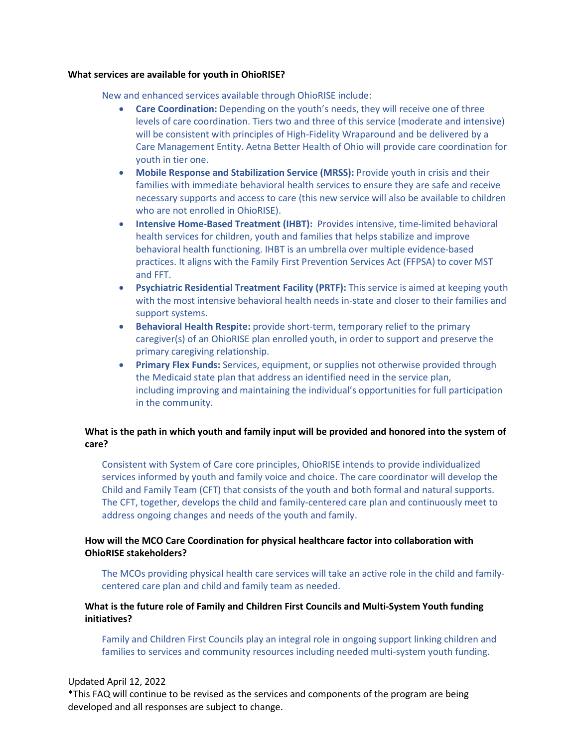#### **What services are available for youth in OhioRISE?**

New and enhanced services available through OhioRISE include:

- **Care Coordination:** Depending on the youth's needs, they will receive one of three levels of care coordination. Tiers two and three of this service (moderate and intensive) will be consistent with principles of High-Fidelity Wraparound and be delivered by a Care Management Entity. Aetna Better Health of Ohio will provide care coordination for youth in tier one.
- **Mobile Response and Stabilization Service (MRSS):** Provide youth in crisis and their families with immediate behavioral health services to ensure they are safe and receive necessary supports and access to care (this new service will also be available to children who are not enrolled in OhioRISE).
- **Intensive Home-Based Treatment (IHBT):** Provides intensive, time-limited behavioral health services for children, youth and families that helps stabilize and improve behavioral health functioning. IHBT is an umbrella over multiple evidence-based practices. It aligns with the Family First Prevention Services Act (FFPSA) to cover MST and FFT.
- **Psychiatric Residential Treatment Facility (PRTF):** This service is aimed at keeping youth with the most intensive behavioral health needs in-state and closer to their families and support systems.
- **Behavioral Health Respite:** provide short-term, temporary relief to the primary caregiver(s) of an OhioRISE plan enrolled youth, in order to support and preserve the primary caregiving relationship.
- **Primary Flex Funds:** Services, equipment, or supplies not otherwise provided through the Medicaid state plan that address an identified need in the service plan, including improving and maintaining the individual's opportunities for full participation in the community.

## **What is the path in which youth and family input will be provided and honored into the system of care?**

Consistent with System of Care core principles, OhioRISE intends to provide individualized services informed by youth and family voice and choice. The care coordinator will develop the Child and Family Team (CFT) that consists of the youth and both formal and natural supports. The CFT, together, develops the child and family-centered care plan and continuously meet to address ongoing changes and needs of the youth and family.

## **How will the MCO Care Coordination for physical healthcare factor into collaboration with OhioRISE stakeholders?**

The MCOs providing physical health care services will take an active role in the child and familycentered care plan and child and family team as needed.

## **What is the future role of Family and Children First Councils and Multi-System Youth funding initiatives?**

Family and Children First Councils play an integral role in ongoing support linking children and families to services and community resources including needed multi-system youth funding.

#### Updated April 12, 2022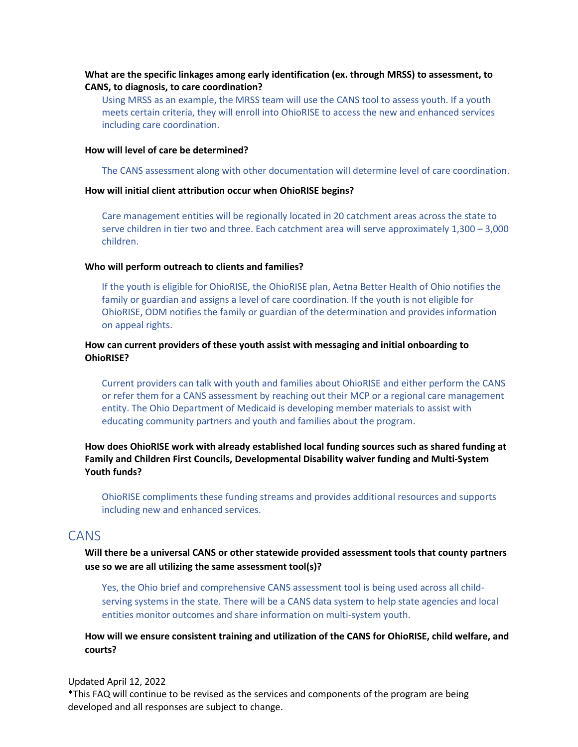## **What are the specific linkages among early identification (ex. through MRSS) to assessment, to CANS, to diagnosis, to care coordination?**

Using MRSS as an example, the MRSS team will use the CANS tool to assess youth. If a youth meets certain criteria, they will enroll into OhioRISE to access the new and enhanced services including care coordination.

### **How will level of care be determined?**

The CANS assessment along with other documentation will determine level of care coordination.

#### **How will initial client attribution occur when OhioRISE begins?**

Care management entities will be regionally located in 20 catchment areas across the state to serve children in tier two and three. Each catchment area will serve approximately 1,300 – 3,000 children.

#### **Who will perform outreach to clients and families?**

If the youth is eligible for OhioRISE, the OhioRISE plan, Aetna Better Health of Ohio notifies the family or guardian and assigns a level of care coordination. If the youth is not eligible for OhioRISE, ODM notifies the family or guardian of the determination and provides information on appeal rights.

## **How can current providers of these youth assist with messaging and initial onboarding to OhioRISE?**

Current providers can talk with youth and families about OhioRISE and either perform the CANS or refer them for a CANS assessment by reaching out their MCP or a regional care management entity. The Ohio Department of Medicaid is developing member materials to assist with educating community partners and youth and families about the program.

## **How does OhioRISE work with already established local funding sources such as shared funding at Family and Children First Councils, Developmental Disability waiver funding and Multi-System Youth funds?**

OhioRISE compliments these funding streams and provides additional resources and supports including new and enhanced services.

## CANS

**Will there be a universal CANS or other statewide provided assessment tools that county partners use so we are all utilizing the same assessment tool(s)?** 

Yes, the Ohio brief and comprehensive CANS assessment tool is being used across all childserving systems in the state. There will be a CANS data system to help state agencies and local entities monitor outcomes and share information on multi-system youth.

## **How will we ensure consistent training and utilization of the CANS for OhioRISE, child welfare, and courts?**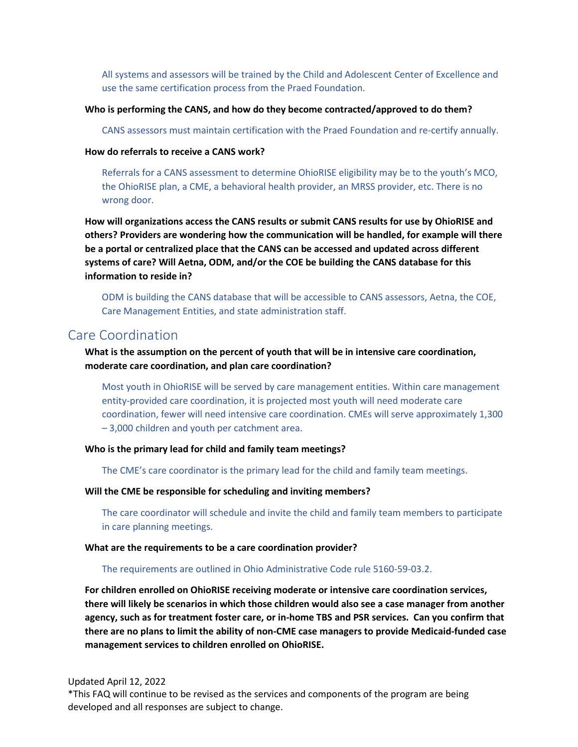All systems and assessors will be trained by the Child and Adolescent Center of Excellence and use the same certification process from the Praed Foundation.

#### **Who is performing the CANS, and how do they become contracted/approved to do them?**

CANS assessors must maintain certification with the Praed Foundation and re-certify annually.

#### **How do referrals to receive a CANS work?**

Referrals for a CANS assessment to determine OhioRISE eligibility may be to the youth's MCO, the OhioRISE plan, a CME, a behavioral health provider, an MRSS provider, etc. There is no wrong door.

**How will organizations access the CANS results or submit CANS results for use by OhioRISE and others? Providers are wondering how the communication will be handled, for example will there be a portal or centralized place that the CANS can be accessed and updated across different systems of care? Will Aetna, ODM, and/or the COE be building the CANS database for this information to reside in?** 

ODM is building the CANS database that will be accessible to CANS assessors, Aetna, the COE, Care Management Entities, and state administration staff.

## Care Coordination

## **What is the assumption on the percent of youth that will be in intensive care coordination, moderate care coordination, and plan care coordination?**

Most youth in OhioRISE will be served by care management entities. Within care management entity-provided care coordination, it is projected most youth will need moderate care coordination, fewer will need intensive care coordination. CMEs will serve approximately 1,300 – 3,000 children and youth per catchment area.

#### **Who is the primary lead for child and family team meetings?**

The CME's care coordinator is the primary lead for the child and family team meetings.

#### **Will the CME be responsible for scheduling and inviting members?**

The care coordinator will schedule and invite the child and family team members to participate in care planning meetings.

#### **What are the requirements to be a care coordination provider?**

#### The requirements are outlined in Ohio Administrative Code rule 5160-59-03.2.

**For children enrolled on OhioRISE receiving moderate or intensive care coordination services, there will likely be scenarios in which those children would also see a case manager from another agency, such as for treatment foster care, or in-home TBS and PSR services. Can you confirm that there are no plans to limit the ability of non-CME case managers to provide Medicaid-funded case management services to children enrolled on OhioRISE.** 

#### Updated April 12, 2022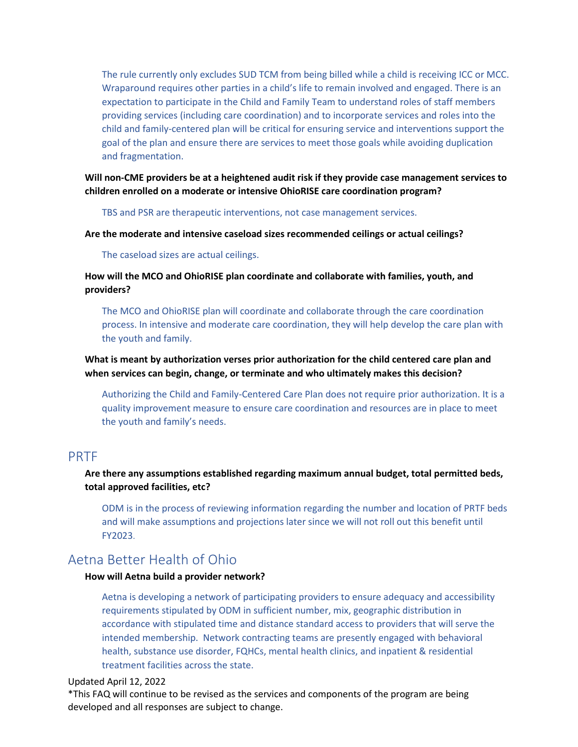The rule currently only excludes SUD TCM from being billed while a child is receiving ICC or MCC. Wraparound requires other parties in a child's life to remain involved and engaged. There is an expectation to participate in the Child and Family Team to understand roles of staff members providing services (including care coordination) and to incorporate services and roles into the child and family-centered plan will be critical for ensuring service and interventions support the goal of the plan and ensure there are services to meet those goals while avoiding duplication and fragmentation.

**Will non-CME providers be at a heightened audit risk if they provide case management services to children enrolled on a moderate or intensive OhioRISE care coordination program?** 

TBS and PSR are therapeutic interventions, not case management services.

**Are the moderate and intensive caseload sizes recommended ceilings or actual ceilings?** 

The caseload sizes are actual ceilings.

**How will the MCO and OhioRISE plan coordinate and collaborate with families, youth, and providers?** 

The MCO and OhioRISE plan will coordinate and collaborate through the care coordination process. In intensive and moderate care coordination, they will help develop the care plan with the youth and family.

**What is meant by authorization verses prior authorization for the child centered care plan and when services can begin, change, or terminate and who ultimately makes this decision?** 

Authorizing the Child and Family-Centered Care Plan does not require prior authorization. It is a quality improvement measure to ensure care coordination and resources are in place to meet the youth and family's needs.

## PRTF

## **Are there any assumptions established regarding maximum annual budget, total permitted beds, total approved facilities, etc?**

ODM is in the process of reviewing information regarding the number and location of PRTF beds and will make assumptions and projections later since we will not roll out this benefit until FY2023.

## Aetna Better Health of Ohio

#### **How will Aetna build a provider network?**

Aetna is developing a network of participating providers to ensure adequacy and accessibility requirements stipulated by ODM in sufficient number, mix, geographic distribution in accordance with stipulated time and distance standard access to providers that will serve the intended membership. Network contracting teams are presently engaged with behavioral health, substance use disorder, FQHCs, mental health clinics, and inpatient & residential treatment facilities across the state.

#### Updated April 12, 2022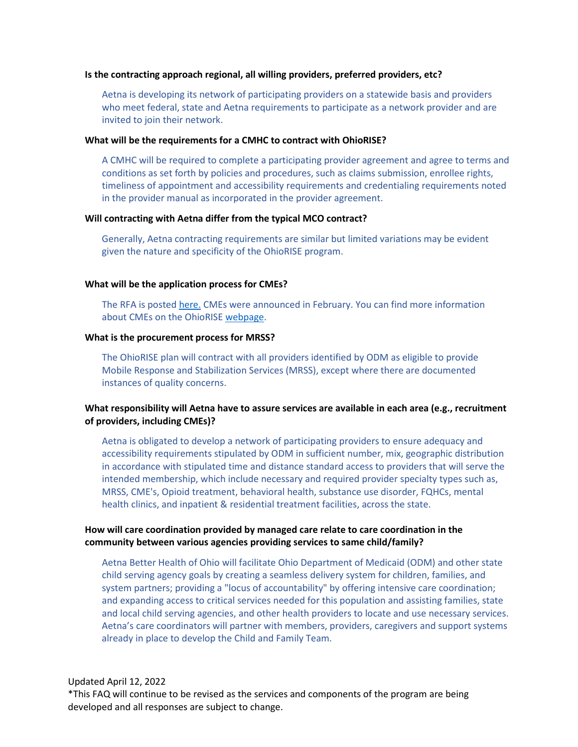#### **Is the contracting approach regional, all willing providers, preferred providers, etc?**

Aetna is developing its network of participating providers on a statewide basis and providers who meet federal, state and Aetna requirements to participate as a network provider and are invited to join their network.

#### **What will be the requirements for a CMHC to contract with OhioRISE?**

A CMHC will be required to complete a participating provider agreement and agree to terms and conditions as set forth by policies and procedures, such as claims submission, enrollee rights, timeliness of appointment and accessibility requirements and credentialing requirements noted in the provider manual as incorporated in the provider agreement.

#### **Will contracting with Aetna differ from the typical MCO contract?**

Generally, Aetna contracting requirements are similar but limited variations may be evident given the nature and specificity of the OhioRISE program.

#### **What will be the application process for CMEs?**

The RFA is poste[d here.](https://www.aetnabetterhealth.com/ohio/cmeapplication) CMEs were announced in February. You can find more information about CMEs on the OhioRISE [webpage.](https://managedcare.medicaid.ohio.gov/managed-care/ohiorise/5-OhioRISE+CMEs)

#### **What is the procurement process for MRSS?**

The OhioRISE plan will contract with all providers identified by ODM as eligible to provide Mobile Response and Stabilization Services (MRSS), except where there are documented instances of quality concerns.

## **What responsibility will Aetna have to assure services are available in each area (e.g., recruitment of providers, including CMEs)?**

Aetna is obligated to develop a network of participating providers to ensure adequacy and accessibility requirements stipulated by ODM in sufficient number, mix, geographic distribution in accordance with stipulated time and distance standard access to providers that will serve the intended membership, which include necessary and required provider specialty types such as, MRSS, CME's, Opioid treatment, behavioral health, substance use disorder, FQHCs, mental health clinics, and inpatient & residential treatment facilities, across the state.

### **How will care coordination provided by managed care relate to care coordination in the community between various agencies providing services to same child/family?**

Aetna Better Health of Ohio will facilitate Ohio Department of Medicaid (ODM) and other state child serving agency goals by creating a seamless delivery system for children, families, and system partners; providing a "locus of accountability" by offering intensive care coordination; and expanding access to critical services needed for this population and assisting families, state and local child serving agencies, and other health providers to locate and use necessary services. Aetna's care coordinators will partner with members, providers, caregivers and support systems already in place to develop the Child and Family Team.

#### Updated April 12, 2022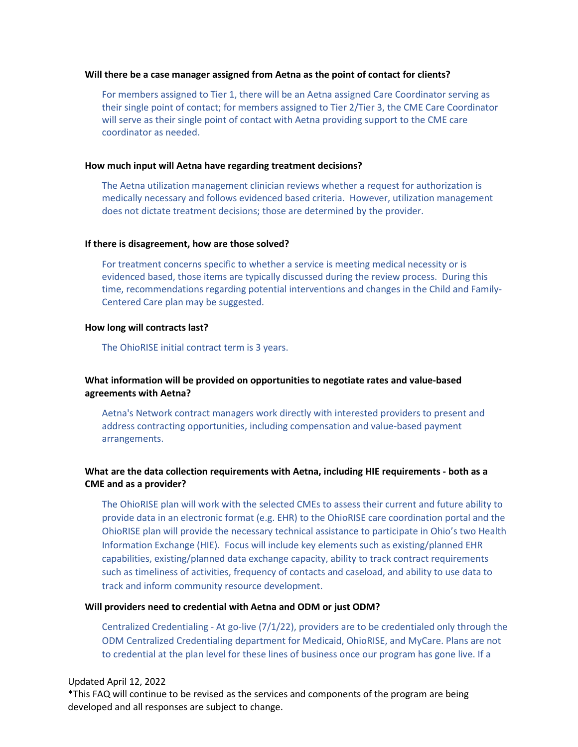#### **Will there be a case manager assigned from Aetna as the point of contact for clients?**

For members assigned to Tier 1, there will be an Aetna assigned Care Coordinator serving as their single point of contact; for members assigned to Tier 2/Tier 3, the CME Care Coordinator will serve as their single point of contact with Aetna providing support to the CME care coordinator as needed.

#### **How much input will Aetna have regarding treatment decisions?**

The Aetna utilization management clinician reviews whether a request for authorization is medically necessary and follows evidenced based criteria. However, utilization management does not dictate treatment decisions; those are determined by the provider.

#### **If there is disagreement, how are those solved?**

For treatment concerns specific to whether a service is meeting medical necessity or is evidenced based, those items are typically discussed during the review process. During this time, recommendations regarding potential interventions and changes in the Child and Family-Centered Care plan may be suggested.

#### **How long will contracts last?**

The OhioRISE initial contract term is 3 years.

## **What information will be provided on opportunities to negotiate rates and value-based agreements with Aetna?**

Aetna's Network contract managers work directly with interested providers to present and address contracting opportunities, including compensation and value-based payment arrangements.

## **What are the data collection requirements with Aetna, including HIE requirements - both as a CME and as a provider?**

The OhioRISE plan will work with the selected CMEs to assess their current and future ability to provide data in an electronic format (e.g. EHR) to the OhioRISE care coordination portal and the OhioRISE plan will provide the necessary technical assistance to participate in Ohio's two Health Information Exchange (HIE). Focus will include key elements such as existing/planned EHR capabilities, existing/planned data exchange capacity, ability to track contract requirements such as timeliness of activities, frequency of contacts and caseload, and ability to use data to track and inform community resource development.

#### **Will providers need to credential with Aetna and ODM or just ODM?**

Centralized Credentialing - At go-live (7/1/22), providers are to be credentialed only through the ODM Centralized Credentialing department for Medicaid, OhioRISE, and MyCare. Plans are not to credential at the plan level for these lines of business once our program has gone live. If a

#### Updated April 12, 2022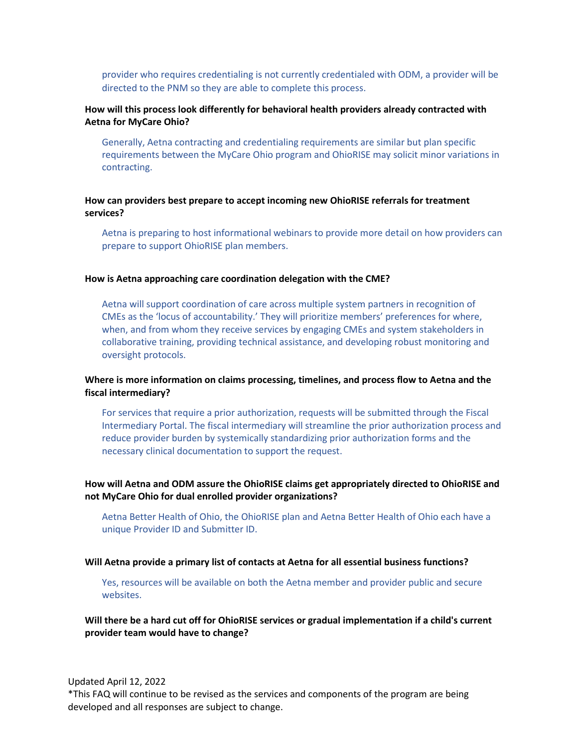provider who requires credentialing is not currently credentialed with ODM, a provider will be directed to the PNM so they are able to complete this process.

## **How will this process look differently for behavioral health providers already contracted with Aetna for MyCare Ohio?**

Generally, Aetna contracting and credentialing requirements are similar but plan specific requirements between the MyCare Ohio program and OhioRISE may solicit minor variations in contracting.

## **How can providers best prepare to accept incoming new OhioRISE referrals for treatment services?**

Aetna is preparing to host informational webinars to provide more detail on how providers can prepare to support OhioRISE plan members.

#### **How is Aetna approaching care coordination delegation with the CME?**

Aetna will support coordination of care across multiple system partners in recognition of CMEs as the 'locus of accountability.' They will prioritize members' preferences for where, when, and from whom they receive services by engaging CMEs and system stakeholders in collaborative training, providing technical assistance, and developing robust monitoring and oversight protocols.

## **Where is more information on claims processing, timelines, and process flow to Aetna and the fiscal intermediary?**

For services that require a prior authorization, requests will be submitted through the Fiscal Intermediary Portal. The fiscal intermediary will streamline the prior authorization process and reduce provider burden by systemically standardizing prior authorization forms and the necessary clinical documentation to support the request.

### **How will Aetna and ODM assure the OhioRISE claims get appropriately directed to OhioRISE and not MyCare Ohio for dual enrolled provider organizations?**

Aetna Better Health of Ohio, the OhioRISE plan and Aetna Better Health of Ohio each have a unique Provider ID and Submitter ID.

#### **Will Aetna provide a primary list of contacts at Aetna for all essential business functions?**

Yes, resources will be available on both the Aetna member and provider public and secure websites.

## **Will there be a hard cut off for OhioRISE services or gradual implementation if a child's current provider team would have to change?**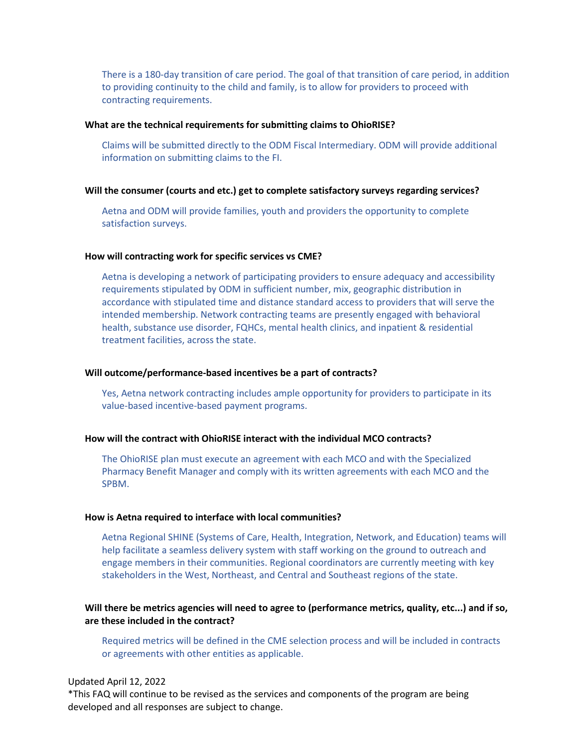There is a 180-day transition of care period. The goal of that transition of care period, in addition to providing continuity to the child and family, is to allow for providers to proceed with contracting requirements.

#### **What are the technical requirements for submitting claims to OhioRISE?**

Claims will be submitted directly to the ODM Fiscal Intermediary. ODM will provide additional information on submitting claims to the FI.

#### **Will the consumer (courts and etc.) get to complete satisfactory surveys regarding services?**

Aetna and ODM will provide families, youth and providers the opportunity to complete satisfaction surveys.

#### **How will contracting work for specific services vs CME?**

Aetna is developing a network of participating providers to ensure adequacy and accessibility requirements stipulated by ODM in sufficient number, mix, geographic distribution in accordance with stipulated time and distance standard access to providers that will serve the intended membership. Network contracting teams are presently engaged with behavioral health, substance use disorder, FQHCs, mental health clinics, and inpatient & residential treatment facilities, across the state.

#### **Will outcome/performance-based incentives be a part of contracts?**

Yes, Aetna network contracting includes ample opportunity for providers to participate in its value-based incentive-based payment programs.

#### **How will the contract with OhioRISE interact with the individual MCO contracts?**

The OhioRISE plan must execute an agreement with each MCO and with the Specialized Pharmacy Benefit Manager and comply with its written agreements with each MCO and the SPBM.

#### **How is Aetna required to interface with local communities?**

Aetna Regional SHINE (Systems of Care, Health, Integration, Network, and Education) teams will help facilitate a seamless delivery system with staff working on the ground to outreach and engage members in their communities. Regional coordinators are currently meeting with key stakeholders in the West, Northeast, and Central and Southeast regions of the state.

## **Will there be metrics agencies will need to agree to (performance metrics, quality, etc...) and if so, are these included in the contract?**

Required metrics will be defined in the CME selection process and will be included in contracts or agreements with other entities as applicable.

#### Updated April 12, 2022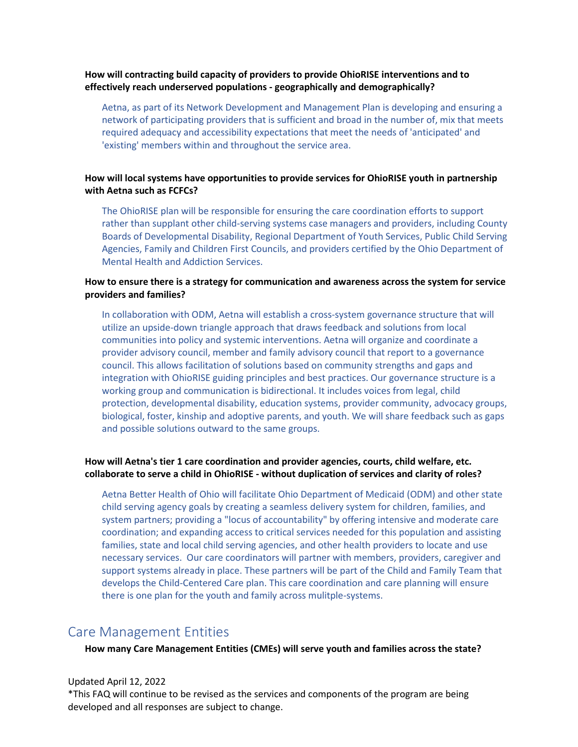## **How will contracting build capacity of providers to provide OhioRISE interventions and to effectively reach underserved populations - geographically and demographically?**

Aetna, as part of its Network Development and Management Plan is developing and ensuring a network of participating providers that is sufficient and broad in the number of, mix that meets required adequacy and accessibility expectations that meet the needs of 'anticipated' and 'existing' members within and throughout the service area.

## **How will local systems have opportunities to provide services for OhioRISE youth in partnership with Aetna such as FCFCs?**

The OhioRISE plan will be responsible for ensuring the care coordination efforts to support rather than supplant other child-serving systems case managers and providers, including County Boards of Developmental Disability, Regional Department of Youth Services, Public Child Serving Agencies, Family and Children First Councils, and providers certified by the Ohio Department of Mental Health and Addiction Services.

## **How to ensure there is a strategy for communication and awareness across the system for service providers and families?**

In collaboration with ODM, Aetna will establish a cross-system governance structure that will utilize an upside-down triangle approach that draws feedback and solutions from local communities into policy and systemic interventions. Aetna will organize and coordinate a provider advisory council, member and family advisory council that report to a governance council. This allows facilitation of solutions based on community strengths and gaps and integration with OhioRISE guiding principles and best practices. Our governance structure is a working group and communication is bidirectional. It includes voices from legal, child protection, developmental disability, education systems, provider community, advocacy groups, biological, foster, kinship and adoptive parents, and youth. We will share feedback such as gaps and possible solutions outward to the same groups.

## **How will Aetna's tier 1 care coordination and provider agencies, courts, child welfare, etc. collaborate to serve a child in OhioRISE - without duplication of services and clarity of roles?**

Aetna Better Health of Ohio will facilitate Ohio Department of Medicaid (ODM) and other state child serving agency goals by creating a seamless delivery system for children, families, and system partners; providing a "locus of accountability" by offering intensive and moderate care coordination; and expanding access to critical services needed for this population and assisting families, state and local child serving agencies, and other health providers to locate and use necessary services. Our care coordinators will partner with members, providers, caregiver and support systems already in place. These partners will be part of the Child and Family Team that develops the Child-Centered Care plan. This care coordination and care planning will ensure there is one plan for the youth and family across mulitple-systems.

## Care Management Entities

**How many Care Management Entities (CMEs) will serve youth and families across the state?**

#### Updated April 12, 2022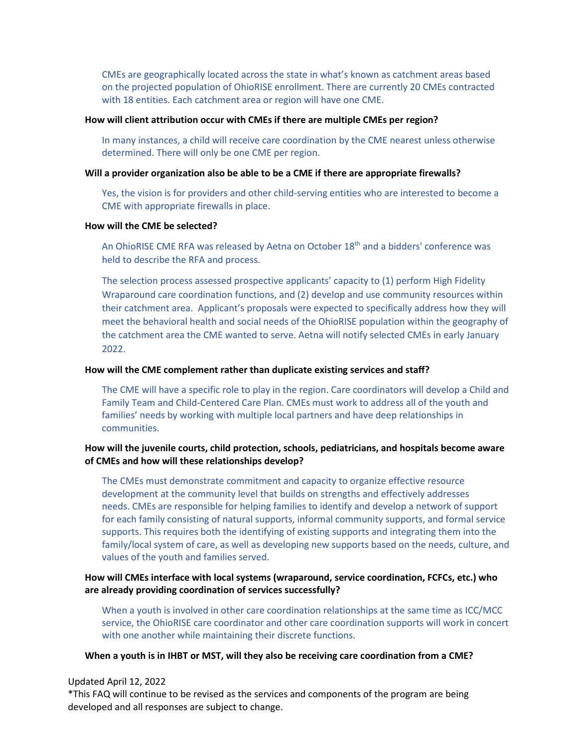CMEs are geographically located across the state in what's known as catchment areas based on the projected population of OhioRISE enrollment. There are currently 20 CMEs contracted with 18 entities. Each catchment area or region will have one CME.

#### **How will client attribution occur with CMEs if there are multiple CMEs per region?**

In many instances, a child will receive care coordination by the CME nearest unless otherwise determined. There will only be one CME per region.

#### **Will a provider organization also be able to be a CME if there are appropriate firewalls?**

Yes, the vision is for providers and other child-serving entities who are interested to become a CME with appropriate firewalls in place.

#### **How will the CME be selected?**

An OhioRISE CME RFA was released by Aetna on October 18<sup>th</sup> and a bidders' conference was held to describe the RFA and process.

The selection process assessed prospective applicants' capacity to (1) perform High Fidelity Wraparound care coordination functions, and (2) develop and use community resources within their catchment area. Applicant's proposals were expected to specifically address how they will meet the behavioral health and social needs of the OhioRISE population within the geography of the catchment area the CME wanted to serve. Aetna will notify selected CMEs in early January 2022.

#### **How will the CME complement rather than duplicate existing services and staff?**

The CME will have a specific role to play in the region. Care coordinators will develop a Child and Family Team and Child-Centered Care Plan. CMEs must work to address all of the youth and families' needs by working with multiple local partners and have deep relationships in communities.

### **How will the juvenile courts, child protection, schools, pediatricians, and hospitals become aware of CMEs and how will these relationships develop?**

The CMEs must demonstrate commitment and capacity to organize effective resource development at the community level that builds on strengths and effectively addresses needs. CMEs are responsible for helping families to identify and develop a network of support for each family consisting of natural supports, informal community supports, and formal service supports. This requires both the identifying of existing supports and integrating them into the family/local system of care, as well as developing new supports based on the needs, culture, and values of the youth and families served.

### **How will CMEs interface with local systems (wraparound, service coordination, FCFCs, etc.) who are already providing coordination of services successfully?**

When a youth is involved in other care coordination relationships at the same time as ICC/MCC service, the OhioRISE care coordinator and other care coordination supports will work in concert with one another while maintaining their discrete functions.

#### **When a youth is in IHBT or MST, will they also be receiving care coordination from a CME?**

#### Updated April 12, 2022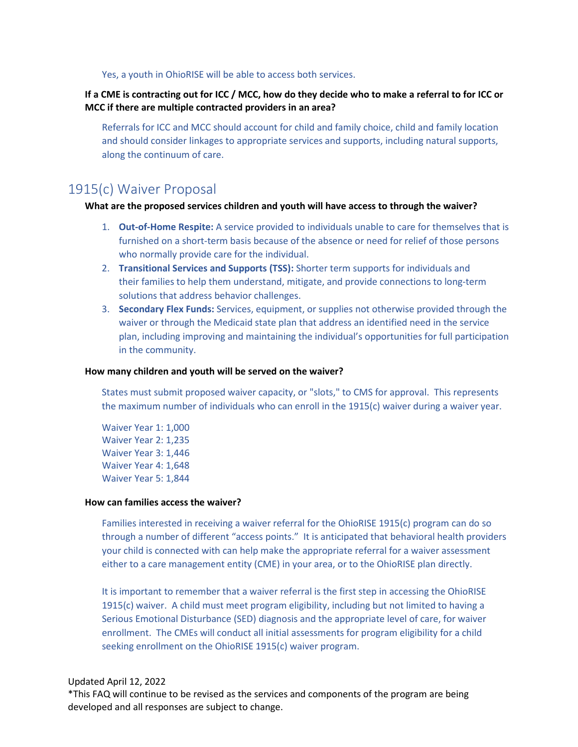Yes, a youth in OhioRISE will be able to access both services.

## **If a CME is contracting out for ICC / MCC, how do they decide who to make a referral to for ICC or MCC if there are multiple contracted providers in an area?**

Referrals for ICC and MCC should account for child and family choice, child and family location and should consider linkages to appropriate services and supports, including natural supports, along the continuum of care.

## 1915(c) Waiver Proposal

### **What are the proposed services children and youth will have access to through the waiver?**

- 1. **Out-of-Home Respite:** A service provided to individuals unable to care for themselves that is furnished on a short-term basis because of the absence or need for relief of those persons who normally provide care for the individual.
- 2. **Transitional Services and Supports (TSS):** Shorter term supports for individuals and their families to help them understand, mitigate, and provide connections to long-term solutions that address behavior challenges.
- 3. **Secondary Flex Funds:** Services, equipment, or supplies not otherwise provided through the waiver or through the Medicaid state plan that address an identified need in the service plan, including improving and maintaining the individual's opportunities for full participation in the community.

#### **How many children and youth will be served on the waiver?**

States must submit proposed waiver capacity, or "slots," to CMS for approval. This represents the maximum number of individuals who can enroll in the 1915(c) waiver during a waiver year.

Waiver Year 1: 1,000 Waiver Year 2: 1,235 Waiver Year 3: 1,446 Waiver Year 4: 1,648 Waiver Year 5: 1,844

#### **How can families access the waiver?**

Families interested in receiving a waiver referral for the OhioRISE 1915(c) program can do so through a number of different "access points." It is anticipated that behavioral health providers your child is connected with can help make the appropriate referral for a waiver assessment either to a care management entity (CME) in your area, or to the OhioRISE plan directly.

It is important to remember that a waiver referral is the first step in accessing the OhioRISE 1915(c) waiver. A child must meet program eligibility, including but not limited to having a Serious Emotional Disturbance (SED) diagnosis and the appropriate level of care, for waiver enrollment. The CMEs will conduct all initial assessments for program eligibility for a child seeking enrollment on the OhioRISE 1915(c) waiver program.

## Updated April 12, 2022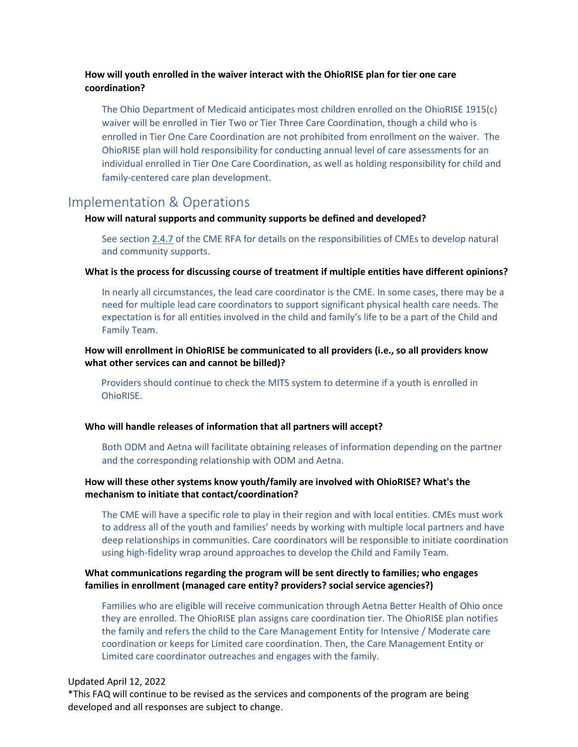## **How will youth enrolled in the waiver interact with the OhioRISE plan for tier one care coordination?**

The Ohio Department of Medicaid anticipates most children enrolled on the OhioRISE 1915(c) waiver will be enrolled in Tier Two or Tier Three Care Coordination, though a child who is enrolled in Tier One Care Coordination are not prohibited from enrollment on the waiver. The OhioRISE plan will hold responsibility for conducting annual level of care assessments for an individual enrolled in Tier One Care Coordination, as well as holding responsibility for child and family-centered care plan development.

## Implementation & Operations

#### **How will natural supports and community supports be defined and developed?**

See section [2.4.7](https://www.aetnabetterhealth.com/ohio/assets/pdf/Aetna%20OhioRISE%20CME%20RFA%2010.21.21.pdf) of the CME RFA for details on the responsibilities of CMEs to develop natural and community supports.

#### **What is the process for discussing course of treatment if multiple entities have different opinions?**

In nearly all circumstances, the lead care coordinator is the CME. In some cases, there may be a need for multiple lead care coordinators to support significant physical health care needs. The expectation is for all entities involved in the child and family's life to be a part of the Child and Family Team.

## **How will enrollment in OhioRISE be communicated to all providers (i.e., so all providers know what other services can and cannot be billed)?**

 Providers should continue to check the MITS system to determine if a youth is enrolled in OhioRISE.

#### **Who will handle releases of information that all partners will accept?**

Both ODM and Aetna will facilitate obtaining releases of information depending on the partner and the corresponding relationship with ODM and Aetna.

## **How will these other systems know youth/family are involved with OhioRISE? What's the mechanism to initiate that contact/coordination?**

The CME will have a specific role to play in their region and with local entities. CMEs must work to address all of the youth and families' needs by working with multiple local partners and have deep relationships in communities. Care coordinators will be responsible to initiate coordination using high-fidelity wrap around approaches to develop the Child and Family Team.

### **What communications regarding the program will be sent directly to families; who engages families in enrollment (managed care entity? providers? social service agencies?)**

Families who are eligible will receive communication through Aetna Better Health of Ohio once they are enrolled. The OhioRISE plan assigns care coordination tier. The OhioRISE plan notifies the family and refers the child to the Care Management Entity for Intensive / Moderate care coordination or keeps for Limited care coordination. Then, the Care Management Entity or Limited care coordinator outreaches and engages with the family.

#### Updated April 12, 2022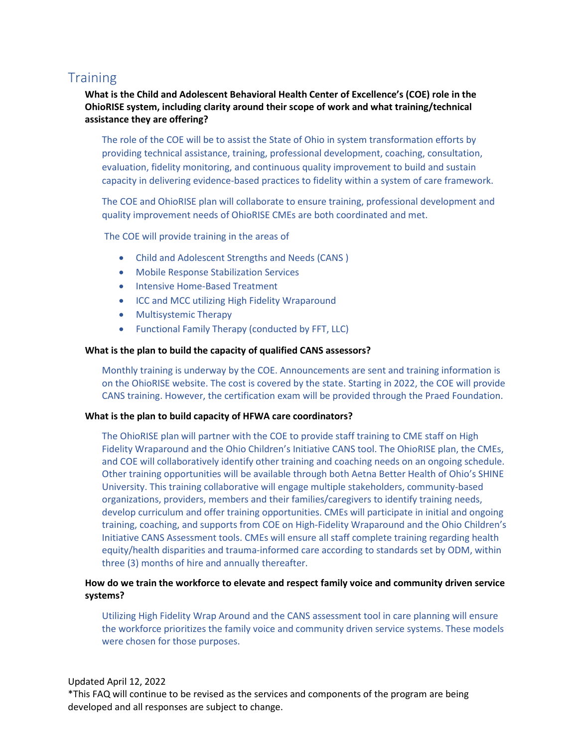## **Training**

## **What is the Child and Adolescent Behavioral Health Center of Excellence's (COE) role in the OhioRISE system, including clarity around their scope of work and what training/technical assistance they are offering?**

The role of the COE will be to assist the State of Ohio in system transformation efforts by providing technical assistance, training, professional development, coaching, consultation, evaluation, fidelity monitoring, and continuous quality improvement to build and sustain capacity in delivering evidence-based practices to fidelity within a system of care framework.

The COE and OhioRISE plan will collaborate to ensure training, professional development and quality improvement needs of OhioRISE CMEs are both coordinated and met.

The COE will provide training in the areas of

- Child and Adolescent Strengths and Needs (CANS )
- Mobile Response Stabilization Services
- Intensive Home-Based Treatment
- ICC and MCC utilizing High Fidelity Wraparound
- Multisystemic Therapy
- Functional Family Therapy (conducted by FFT, LLC)

#### **What is the plan to build the capacity of qualified CANS assessors?**

Monthly training is underway by the COE. Announcements are sent and training information is on the OhioRISE website. The cost is covered by the state. Starting in 2022, the COE will provide CANS training. However, the certification exam will be provided through the Praed Foundation.

#### **What is the plan to build capacity of HFWA care coordinators?**

The OhioRISE plan will partner with the COE to provide staff training to CME staff on High Fidelity Wraparound and the Ohio Children's Initiative CANS tool. The OhioRISE plan, the CMEs, and COE will collaboratively identify other training and coaching needs on an ongoing schedule. Other training opportunities will be available through both Aetna Better Health of Ohio's SHINE University. This training collaborative will engage multiple stakeholders, community-based organizations, providers, members and their families/caregivers to identify training needs, develop curriculum and offer training opportunities. CMEs will participate in initial and ongoing training, coaching, and supports from COE on High-Fidelity Wraparound and the Ohio Children's Initiative CANS Assessment tools. CMEs will ensure all staff complete training regarding health equity/health disparities and trauma-informed care according to standards set by ODM, within three (3) months of hire and annually thereafter.

## **How do we train the workforce to elevate and respect family voice and community driven service systems?**

Utilizing High Fidelity Wrap Around and the CANS assessment tool in care planning will ensure the workforce prioritizes the family voice and community driven service systems. These models were chosen for those purposes.

#### Updated April 12, 2022